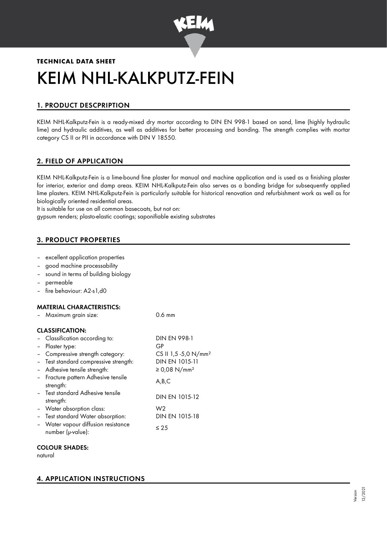

# **TECHNICAL DATA SHEET** KEIM NHL-KALKPUTZ-FEIN

# 1. PRODUCT DESCPRIPTION

KEIM NHL-Kalkputz-Fein is a ready-mixed dry mortar according to DIN EN 998-1 based on sand, lime (highly hydraulic lime) and hydraulic additives, as well as additives for better processing and bonding. The strength complies with mortar category CS II or PII in accordance with DIN V 18550.

# 2. FIELD OF APPLICATION

KEIM NHL-Kalkputz-Fein is a lime-bound fine plaster for manual and machine application and is used as a finishing plaster for interior, exterior and damp areas. KEIM NHL-Kalkputz-Fein also serves as a bonding bridge for subsequently applied lime plasters. KEIM NHL-Kalkputz-Fein is particularly suitable for historical renovation and refurbishment work as well as for biologically oriented residential areas.

It is suitable for use on all common basecoats, but not on:

gypsum renders; plasto-elastic coatings; saponifiable existing substrates

# 3. PRODUCT PROPERTIES

- excellent application properties
- good machine processability
- sound in terms of building biology
- permeable
- fire behaviour: A2-s1,d0

#### MATERIAL CHARACTERISTICS:

|                        | Maximum grain size:                                      | $0.6 \text{ mm}$                 |  |  |  |
|------------------------|----------------------------------------------------------|----------------------------------|--|--|--|
| <b>CLASSIFICATION:</b> |                                                          |                                  |  |  |  |
|                        | - Classification according to:                           | <b>DIN EN 998-1</b>              |  |  |  |
| $\blacksquare$         | Plaster type:                                            | GP                               |  |  |  |
|                        | - Compressive strength category:                         | CS II 1,5 -5,0 N/mm <sup>2</sup> |  |  |  |
|                        | - Test standard compressive strength:                    | DIN EN 1015-11                   |  |  |  |
|                        | Adhesive tensile strength:                               | ≥ 0,08 N/mm <sup>2</sup>         |  |  |  |
|                        | - Fracture pattern Adhesive tensile<br>strength:         | A,B,C                            |  |  |  |
|                        | - Test standard Adhesive tensile<br>strength:            | DIN EN 1015-12                   |  |  |  |
|                        | - Water absorption class:                                | W <sub>2</sub>                   |  |  |  |
|                        | Test standard Water absorption:                          | DIN EN 1015-18                   |  |  |  |
|                        | - Water vapour diffusion resistance<br>number (µ-value): | $\leq 25$                        |  |  |  |

#### COLOUR SHADES:

natural

# 4. APPLICATION INSTRUCTIONS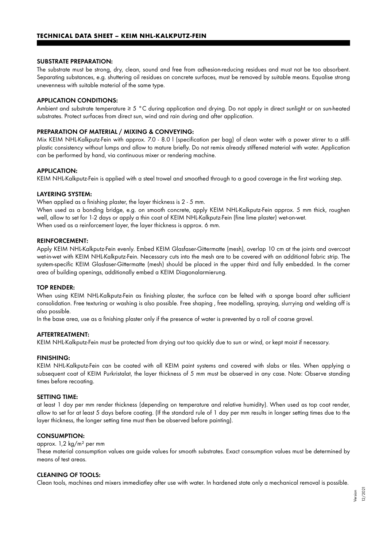#### SUBSTRATE PREPARATION:

The substrate must be strong, dry, clean, sound and free from adhesion-reducing residues and must not be too absorbent. Separating substances, e.g. shuttering oil residues on concrete surfaces, must be removed by suitable means. Equalise strong unevenness with suitable material of the same type.

#### APPLICATION CONDITIONS:

Ambient and substrate temperature ≥ 5 °C during application and drying. Do not apply in direct sunlight or on sun-heated substrates. Protect surfaces from direct sun, wind and rain during and after application.

#### PREPARATION OF MATERIAL / MIXING & CONVEYING:

Mix KEIM NHL-Kalkputz-Fein with approx. 7.0 - 8.0 l (specification per bag) of clean water with a power stirrer to a stiffplastic consistency without lumps and allow to mature briefly. Do not remix already stiffened material with water. Application can be performed by hand, via continuous mixer or rendering machine.

#### APPLICATION:

KEIM NHL-Kalkputz-Fein is applied with a steel trowel and smoothed through to a good coverage in the first working step.

#### LAYERING SYSTEM:

When applied as a finishing plaster, the layer thickness is 2 - 5 mm.

When used as a bonding bridge, e.g. on smooth concrete, apply KEIM NHL-Kalkputz-Fein approx. 5 mm thick, roughen well, allow to set for 1-2 days or apply a thin coat of KEIM NHL-Kalkputz-Fein (fine lime plaster) wet-on-wet. When used as a reinforcement layer, the layer thickness is approx. 6 mm.

#### REINFORCEMENT:

Apply KEIM NHL-Kalkputz-Fein evenly. Embed KEIM Glasfaser-Gittermatte (mesh), overlap 10 cm at the joints and overcoat wet-in-wet with KEIM NHL-Kalkputz-Fein. Necessary cuts into the mesh are to be covered with an additional fabric strip. The system-specific KEIM Glasfaser-Gittermatte (mesh) should be placed in the upper third and fully embedded. In the corner area of building openings, additionally embed a KEIM Diagonalarmierung.

#### TOP RENDER:

When using KEIM NHL-Kalkputz-Fein as finishing plaster, the surface can be felted with a sponge board after sufficient consolidation. Free texturing or washing is also possible. Free shaping , free modelling, spraying, slurrying and welding off is also possible.

In the base area, use as a finishing plaster only if the presence of water is prevented by a roll of coarse gravel.

#### AFTERTREATMENT:

KEIM NHL-Kalkputz-Fein must be protected from drying out too quickly due to sun or wind, or kept moist if necessary.

#### FINISHING:

KEIM NHL-Kalkputz-Fein can be coated with all KEIM paint systems and covered with slabs or tiles. When applying a subsequent coat of KEIM Purkristalat, the layer thickness of 5 mm must be observed in any case. Note: Observe standing times before recoating.

#### SETTING TIME:

at least 1 day per mm render thickness (depending on temperature and relative humidity). When used as top coat render, allow to set for at least 5 days before coating. (If the standard rule of 1 day per mm results in longer setting times due to the layer thickness, the longer setting time must then be observed before painting).

#### CONSUMPTION:

# approx. 1,2 kg/m² per mm

These material consumption values are guide values for smooth substrates. Exact consumption values must be determined by means of test areas.

#### CLEANING OF TOOLS:

Clean tools, machines and mixers immediatley after use with water. In hardened state only a mechanical removal is possible.